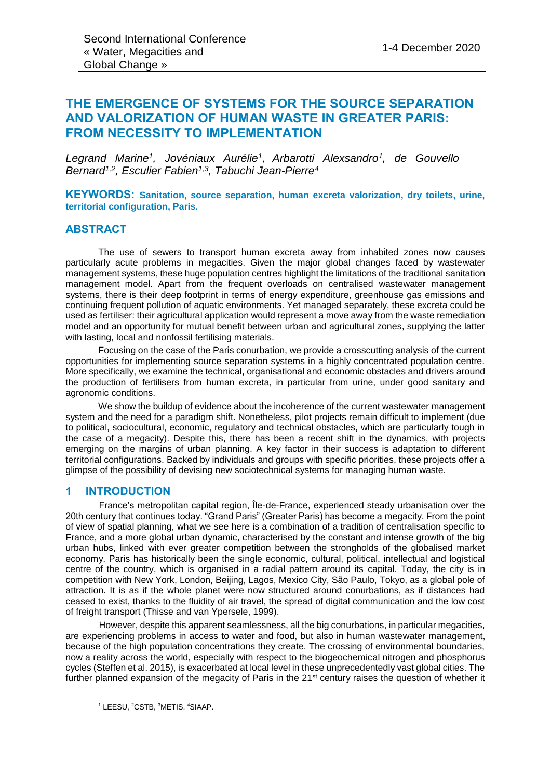# **THE EMERGENCE OF SYSTEMS FOR THE SOURCE SEPARATION AND VALORIZATION OF HUMAN WASTE IN GREATER PARIS: FROM NECESSITY TO IMPLEMENTATION**

*Legrand Marine<sup>1</sup> , Jovéniaux Aurélie<sup>1</sup> , Arbarotti Alexsandro<sup>1</sup> , de Gouvello Bernard1,2, Esculier Fabien1,3, Tabuchi Jean-Pierre<sup>4</sup>*

**KEYWORDS: Sanitation, source separation, human excreta valorization, dry toilets, urine, territorial configuration, Paris.**

### **ABSTRACT**

The use of sewers to transport human excreta away from inhabited zones now causes particularly acute problems in megacities. Given the major global changes faced by wastewater management systems, these huge population centres highlight the limitations of the traditional sanitation management model. Apart from the frequent overloads on centralised wastewater management systems, there is their deep footprint in terms of energy expenditure, greenhouse gas emissions and continuing frequent pollution of aquatic environments. Yet managed separately, these excreta could be used as fertiliser: their agricultural application would represent a move away from the waste remediation model and an opportunity for mutual benefit between urban and agricultural zones, supplying the latter with lasting, local and nonfossil fertilising materials.

Focusing on the case of the Paris conurbation, we provide a crosscutting analysis of the current opportunities for implementing source separation systems in a highly concentrated population centre. More specifically, we examine the technical, organisational and economic obstacles and drivers around the production of fertilisers from human excreta, in particular from urine, under good sanitary and agronomic conditions.

We show the buildup of evidence about the incoherence of the current wastewater management system and the need for a paradigm shift. Nonetheless, pilot projects remain difficult to implement (due to political, sociocultural, economic, regulatory and technical obstacles, which are particularly tough in the case of a megacity). Despite this, there has been a recent shift in the dynamics, with projects emerging on the margins of urban planning. A key factor in their success is adaptation to different territorial configurations. Backed by individuals and groups with specific priorities, these projects offer a glimpse of the possibility of devising new sociotechnical systems for managing human waste.

### **1 INTRODUCTION**

France's metropolitan capital region, Île-de-France, experienced steady urbanisation over the 20th century that continues today. "Grand Paris" (Greater Paris) has become a megacity. From the point of view of spatial planning, what we see here is a combination of a tradition of centralisation specific to France, and a more global urban dynamic, characterised by the constant and intense growth of the big urban hubs, linked with ever greater competition between the strongholds of the globalised market economy. Paris has historically been the single economic, cultural, political, intellectual and logistical centre of the country, which is organised in a radial pattern around its capital. Today, the city is in competition with New York, London, Beijing, Lagos, Mexico City, São Paulo, Tokyo, as a global pole of attraction. It is as if the whole planet were now structured around conurbations, as if distances had ceased to exist, thanks to the fluidity of air travel, the spread of digital communication and the low cost of freight transport (Thisse and van Ypersele, 1999).

However, despite this apparent seamlessness, all the big conurbations, in particular megacities, are experiencing problems in access to water and food, but also in human wastewater management, because of the high population concentrations they create. The crossing of environmental boundaries, now a reality across the world, especially with respect to the biogeochemical nitrogen and phosphorus cycles (Steffen et al. 2015), is exacerbated at local level in these unprecedentedly vast global cities. The further planned expansion of the megacity of Paris in the 21<sup>st</sup> century raises the question of whether it

l

<sup>1</sup> LEESU, <sup>2</sup>CSTB, <sup>3</sup>METIS, <sup>4</sup>SIAAP.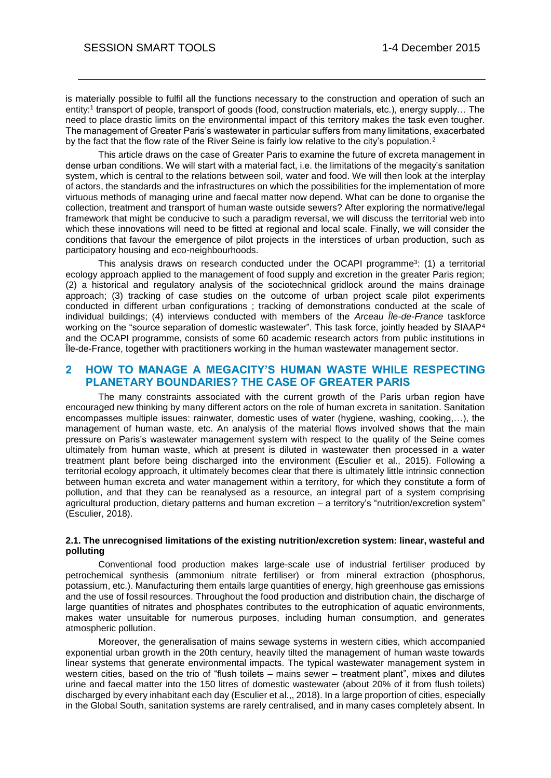is materially possible to fulfil all the functions necessary to the construction and operation of such an entity:<sup>1</sup> transport of people, transport of goods (food, construction materials, etc.), energy supply… The need to place drastic limits on the environmental impact of this territory makes the task even tougher. The management of Greater Paris's wastewater in particular suffers from many limitations, exacerbated by the fact that the flow rate of the River Seine is fairly low relative to the city's population.<sup>2</sup>

This article draws on the case of Greater Paris to examine the future of excreta management in dense urban conditions. We will start with a material fact, i.e. the limitations of the megacity's sanitation system, which is central to the relations between soil, water and food. We will then look at the interplay of actors, the standards and the infrastructures on which the possibilities for the implementation of more virtuous methods of managing urine and faecal matter now depend. What can be done to organise the collection, treatment and transport of human waste outside sewers? After exploring the normative/legal framework that might be conducive to such a paradigm reversal, we will discuss the territorial web into which these innovations will need to be fitted at regional and local scale. Finally, we will consider the conditions that favour the emergence of pilot projects in the interstices of urban production, such as participatory housing and eco-neighbourhoods.

This analysis draws on research conducted under the OCAPI programme<sup>3</sup>: (1) a territorial ecology approach applied to the management of food supply and excretion in the greater Paris region; (2) a historical and regulatory analysis of the sociotechnical gridlock around the mains drainage approach; (3) tracking of case studies on the outcome of urban project scale pilot experiments conducted in different urban configurations ; tracking of demonstrations conducted at the scale of individual buildings; (4) interviews conducted with members of the *Arceau Île-de-France* taskforce working on the "source separation of domestic wastewater". This task force, jointly headed by SIAAP<sup>4</sup> and the OCAPI programme, consists of some 60 academic research actors from public institutions in Île-de-France, together with practitioners working in the human wastewater management sector.

# **2 HOW TO MANAGE A MEGACITY'S HUMAN WASTE WHILE RESPECTING PLANETARY BOUNDARIES? THE CASE OF GREATER PARIS**

The many constraints associated with the current growth of the Paris urban region have encouraged new thinking by many different actors on the role of human excreta in sanitation. Sanitation encompasses multiple issues: rainwater, domestic uses of water (hygiene, washing, cooking,…), the management of human waste, etc. An analysis of the material flows involved shows that the main pressure on Paris's wastewater management system with respect to the quality of the Seine comes ultimately from human waste, which at present is diluted in wastewater then processed in a water treatment plant before being discharged into the environment (Esculier et al., 2015). Following a territorial ecology approach, it ultimately becomes clear that there is ultimately little intrinsic connection between human excreta and water management within a territory, for which they constitute a form of pollution, and that they can be reanalysed as a resource, an integral part of a system comprising agricultural production, dietary patterns and human excretion – a territory's "nutrition/excretion system" (Esculier, 2018).

### **2.1. The unrecognised limitations of the existing nutrition/excretion system: linear, wasteful and polluting**

Conventional food production makes large-scale use of industrial fertiliser produced by petrochemical synthesis (ammonium nitrate fertiliser) or from mineral extraction (phosphorus, potassium, etc.). Manufacturing them entails large quantities of energy, high greenhouse gas emissions and the use of fossil resources. Throughout the food production and distribution chain, the discharge of large quantities of nitrates and phosphates contributes to the eutrophication of aquatic environments, makes water unsuitable for numerous purposes, including human consumption, and generates atmospheric pollution.

Moreover, the generalisation of mains sewage systems in western cities, which accompanied exponential urban growth in the 20th century, heavily tilted the management of human waste towards linear systems that generate environmental impacts. The typical wastewater management system in western cities, based on the trio of "flush toilets – mains sewer – treatment plant", mixes and dilutes urine and faecal matter into the 150 litres of domestic wastewater (about 20% of it from flush toilets) discharged by every inhabitant each day (Esculier et al.,, 2018). In a large proportion of cities, especially in the Global South, sanitation systems are rarely centralised, and in many cases completely absent. In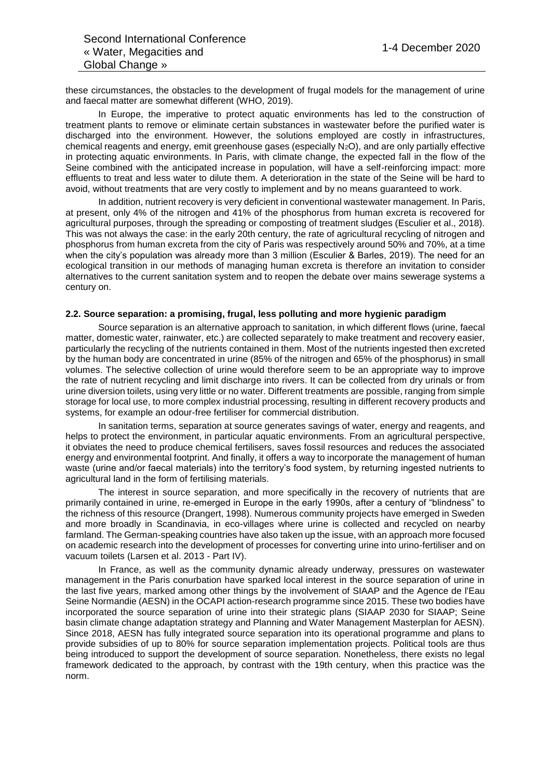these circumstances, the obstacles to the development of frugal models for the management of urine and faecal matter are somewhat different (WHO, 2019).

In Europe, the imperative to protect aquatic environments has led to the construction of treatment plants to remove or eliminate certain substances in wastewater before the purified water is discharged into the environment. However, the solutions employed are costly in infrastructures, chemical reagents and energy, emit greenhouse gases (especially N<sub>2</sub>O), and are only partially effective in protecting aquatic environments. In Paris, with climate change, the expected fall in the flow of the Seine combined with the anticipated increase in population, will have a self-reinforcing impact: more effluents to treat and less water to dilute them. A deterioration in the state of the Seine will be hard to avoid, without treatments that are very costly to implement and by no means guaranteed to work.

In addition, nutrient recovery is very deficient in conventional wastewater management. In Paris, at present, only 4% of the nitrogen and 41% of the phosphorus from human excreta is recovered for agricultural purposes, through the spreading or composting of treatment sludges (Esculier et al., 2018). This was not always the case: in the early 20th century, the rate of agricultural recycling of nitrogen and phosphorus from human excreta from the city of Paris was respectively around 50% and 70%, at a time when the city's population was already more than 3 million (Esculier & Barles, 2019). The need for an ecological transition in our methods of managing human excreta is therefore an invitation to consider alternatives to the current sanitation system and to reopen the debate over mains sewerage systems a century on.

### **2.2. Source separation: a promising, frugal, less polluting and more hygienic paradigm**

Source separation is an alternative approach to sanitation, in which different flows (urine, faecal matter, domestic water, rainwater, etc.) are collected separately to make treatment and recovery easier, particularly the recycling of the nutrients contained in them. Most of the nutrients ingested then excreted by the human body are concentrated in urine (85% of the nitrogen and 65% of the phosphorus) in small volumes. The selective collection of urine would therefore seem to be an appropriate way to improve the rate of nutrient recycling and limit discharge into rivers. It can be collected from dry urinals or from urine diversion toilets, using very little or no water. Different treatments are possible, ranging from simple storage for local use, to more complex industrial processing, resulting in different recovery products and systems, for example an odour-free fertiliser for commercial distribution.

In sanitation terms, separation at source generates savings of water, energy and reagents, and helps to protect the environment, in particular aquatic environments. From an agricultural perspective, it obviates the need to produce chemical fertilisers, saves fossil resources and reduces the associated energy and environmental footprint. And finally, it offers a way to incorporate the management of human waste (urine and/or faecal materials) into the territory's food system, by returning ingested nutrients to agricultural land in the form of fertilising materials.

The interest in source separation, and more specifically in the recovery of nutrients that are primarily contained in urine, re-emerged in Europe in the early 1990s, after a century of "blindness" to the richness of this resource (Drangert, 1998). Numerous community projects have emerged in Sweden and more broadly in Scandinavia, in eco-villages where urine is collected and recycled on nearby farmland. The German-speaking countries have also taken up the issue, with an approach more focused on academic research into the development of processes for converting urine into urino-fertiliser and on vacuum toilets (Larsen et al. 2013 - Part IV).

In France, as well as the community dynamic already underway, pressures on wastewater management in the Paris conurbation have sparked local interest in the source separation of urine in the last five years, marked among other things by the involvement of SIAAP and the Agence de l'Eau Seine Normandie (AESN) in the OCAPI action-research programme since 2015. These two bodies have incorporated the source separation of urine into their strategic plans (SIAAP 2030 for SIAAP; Seine basin climate change adaptation strategy and Planning and Water Management Masterplan for AESN). Since 2018, AESN has fully integrated source separation into its operational programme and plans to provide subsidies of up to 80% for source separation implementation projects. Political tools are thus being introduced to support the development of source separation. Nonetheless, there exists no legal framework dedicated to the approach, by contrast with the 19th century, when this practice was the norm.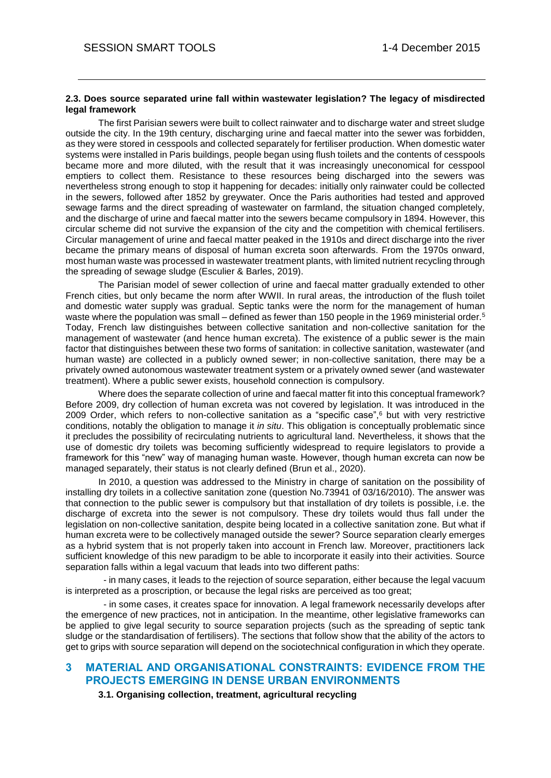#### **2.3. Does source separated urine fall within wastewater legislation? The legacy of misdirected legal framework**

The first Parisian sewers were built to collect rainwater and to discharge water and street sludge outside the city. In the 19th century, discharging urine and faecal matter into the sewer was forbidden, as they were stored in cesspools and collected separately for fertiliser production. When domestic water systems were installed in Paris buildings, people began using flush toilets and the contents of cesspools became more and more diluted, with the result that it was increasingly uneconomical for cesspool emptiers to collect them. Resistance to these resources being discharged into the sewers was nevertheless strong enough to stop it happening for decades: initially only rainwater could be collected in the sewers, followed after 1852 by greywater. Once the Paris authorities had tested and approved sewage farms and the direct spreading of wastewater on farmland, the situation changed completely, and the discharge of urine and faecal matter into the sewers became compulsory in 1894. However, this circular scheme did not survive the expansion of the city and the competition with chemical fertilisers. Circular management of urine and faecal matter peaked in the 1910s and direct discharge into the river became the primary means of disposal of human excreta soon afterwards. From the 1970s onward, most human waste was processed in wastewater treatment plants, with limited nutrient recycling through the spreading of sewage sludge (Esculier & Barles, 2019).

The Parisian model of sewer collection of urine and faecal matter gradually extended to other French cities, but only became the norm after WWII. In rural areas, the introduction of the flush toilet and domestic water supply was gradual. Septic tanks were the norm for the management of human waste where the population was small – defined as fewer than 150 people in the 1969 ministerial order.<sup>5</sup> Today, French law distinguishes between collective sanitation and non-collective sanitation for the management of wastewater (and hence human excreta). The existence of a public sewer is the main factor that distinguishes between these two forms of sanitation: in collective sanitation, wastewater (and human waste) are collected in a publicly owned sewer; in non-collective sanitation, there may be a privately owned autonomous wastewater treatment system or a privately owned sewer (and wastewater treatment). Where a public sewer exists, household connection is compulsory.

Where does the separate collection of urine and faecal matter fit into this conceptual framework? Before 2009, dry collection of human excreta was not covered by legislation. It was introduced in the 2009 Order, which refers to non-collective sanitation as a "specific case",<sup>6</sup> but with very restrictive conditions, notably the obligation to manage it *in situ*. This obligation is conceptually problematic since it precludes the possibility of recirculating nutrients to agricultural land. Nevertheless, it shows that the use of domestic dry toilets was becoming sufficiently widespread to require legislators to provide a framework for this "new" way of managing human waste. However, though human excreta can now be managed separately, their status is not clearly defined (Brun et al., 2020).

In 2010, a question was addressed to the Ministry in charge of sanitation on the possibility of installing dry toilets in a collective sanitation zone (question No.73941 of 03/16/2010). The answer was that connection to the public sewer is compulsory but that installation of dry toilets is possible, i.e. the discharge of excreta into the sewer is not compulsory. These dry toilets would thus fall under the legislation on non-collective sanitation, despite being located in a collective sanitation zone. But what if human excreta were to be collectively managed outside the sewer? Source separation clearly emerges as a hybrid system that is not properly taken into account in French law. Moreover, practitioners lack sufficient knowledge of this new paradigm to be able to incorporate it easily into their activities. Source separation falls within a legal vacuum that leads into two different paths:

 - in many cases, it leads to the rejection of source separation, either because the legal vacuum is interpreted as a proscription, or because the legal risks are perceived as too great;

 - in some cases, it creates space for innovation. A legal framework necessarily develops after the emergence of new practices, not in anticipation. In the meantime, other legislative frameworks can be applied to give legal security to source separation projects (such as the spreading of septic tank sludge or the standardisation of fertilisers). The sections that follow show that the ability of the actors to get to grips with source separation will depend on the sociotechnical configuration in which they operate.

# **3 MATERIAL AND ORGANISATIONAL CONSTRAINTS: EVIDENCE FROM THE PROJECTS EMERGING IN DENSE URBAN ENVIRONMENTS**

**3.1. Organising collection, treatment, agricultural recycling**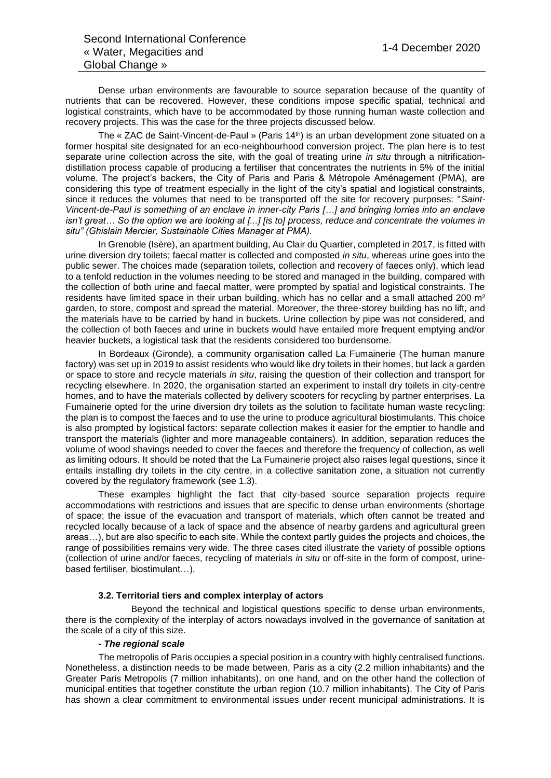Dense urban environments are favourable to source separation because of the quantity of nutrients that can be recovered. However, these conditions impose specific spatial, technical and logistical constraints, which have to be accommodated by those running human waste collection and recovery projects. This was the case for the three projects discussed below.

The « ZAC de Saint-Vincent-de-Paul » (Paris 14th) is an urban development zone situated on a former hospital site designated for an eco-neighbourhood conversion project. The plan here is to test separate urine collection across the site, with the goal of treating urine *in situ* through a nitrificationdistillation process capable of producing a fertiliser that concentrates the nutrients in 5% of the initial volume. The project's backers, the City of Paris and Paris & Métropole Aménagement (PMA), are considering this type of treatment especially in the light of the city's spatial and logistical constraints, since it reduces the volumes that need to be transported off the site for recovery purposes: "*Saint-Vincent-de-Paul is something of an enclave in inner-city Paris […] and bringing lorries into an enclave isn't great… So the option we are looking at [...] [is to] process, reduce and concentrate the volumes in situ" (Ghislain Mercier, Sustainable Cities Manager at PMA).*

In Grenoble (Isère), an apartment building, Au Clair du Quartier, completed in 2017, is fitted with urine diversion dry toilets; faecal matter is collected and composted *in situ*, whereas urine goes into the public sewer. The choices made (separation toilets, collection and recovery of faeces only), which lead to a tenfold reduction in the volumes needing to be stored and managed in the building, compared with the collection of both urine and faecal matter, were prompted by spatial and logistical constraints. The residents have limited space in their urban building, which has no cellar and a small attached 200 m² garden, to store, compost and spread the material. Moreover, the three-storey building has no lift, and the materials have to be carried by hand in buckets. Urine collection by pipe was not considered, and the collection of both faeces and urine in buckets would have entailed more frequent emptying and/or heavier buckets, a logistical task that the residents considered too burdensome.

In Bordeaux (Gironde), a community organisation called La Fumainerie (The human manure factory) was set up in 2019 to assist residents who would like dry toilets in their homes, but lack a garden or space to store and recycle materials *in situ*, raising the question of their collection and transport for recycling elsewhere. In 2020, the organisation started an experiment to install dry toilets in city-centre homes, and to have the materials collected by delivery scooters for recycling by partner enterprises. La Fumainerie opted for the urine diversion dry toilets as the solution to facilitate human waste recycling: the plan is to compost the faeces and to use the urine to produce agricultural biostimulants. This choice is also prompted by logistical factors: separate collection makes it easier for the emptier to handle and transport the materials (lighter and more manageable containers). In addition, separation reduces the volume of wood shavings needed to cover the faeces and therefore the frequency of collection, as well as limiting odours. It should be noted that the La Fumainerie project also raises legal questions, since it entails installing dry toilets in the city centre, in a collective sanitation zone, a situation not currently covered by the regulatory framework (see 1.3).

These examples highlight the fact that city-based source separation projects require accommodations with restrictions and issues that are specific to dense urban environments (shortage of space; the issue of the evacuation and transport of materials, which often cannot be treated and recycled locally because of a lack of space and the absence of nearby gardens and agricultural green areas…), but are also specific to each site. While the context partly guides the projects and choices, the range of possibilities remains very wide. The three cases cited illustrate the variety of possible options (collection of urine and/or faeces, recycling of materials *in situ* or off-site in the form of compost, urinebased fertiliser, biostimulant…).

### **3.2. Territorial tiers and complex interplay of actors**

Beyond the technical and logistical questions specific to dense urban environments, there is the complexity of the interplay of actors nowadays involved in the governance of sanitation at the scale of a city of this size.

### *- The regional scale*

The metropolis of Paris occupies a special position in a country with highly centralised functions. Nonetheless, a distinction needs to be made between, Paris as a city (2.2 million inhabitants) and the Greater Paris Metropolis (7 million inhabitants), on one hand, and on the other hand the collection of municipal entities that together constitute the urban region (10.7 million inhabitants). The City of Paris has shown a clear commitment to environmental issues under recent municipal administrations. It is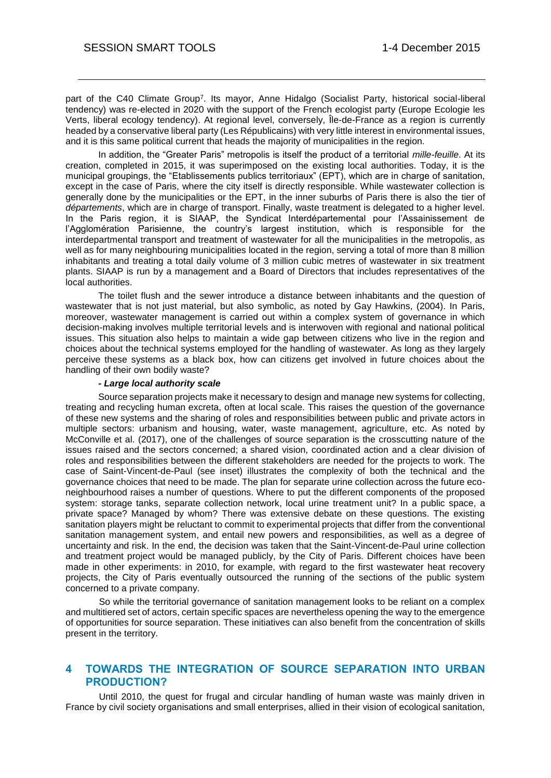part of the C40 Climate Group<sup>7</sup>. Its mayor, Anne Hidalgo (Socialist Party, historical social-liberal tendency) was re-elected in 2020 with the support of the French ecologist party (Europe Ecologie les Verts, liberal ecology tendency). At regional level, conversely, Île-de-France as a region is currently headed by a conservative liberal party (Les Républicains) with very little interest in environmental issues, and it is this same political current that heads the majority of municipalities in the region.

In addition, the "Greater Paris" metropolis is itself the product of a territorial *mille-feuille*. At its creation, completed in 2015, it was superimposed on the existing local authorities. Today, it is the municipal groupings, the "Etablissements publics territoriaux" (EPT), which are in charge of sanitation, except in the case of Paris, where the city itself is directly responsible. While wastewater collection is generally done by the municipalities or the EPT, in the inner suburbs of Paris there is also the tier of *départements*, which are in charge of transport. Finally, waste treatment is delegated to a higher level. In the Paris region, it is SIAAP, the Syndicat Interdépartemental pour l'Assainissement de l'Agglomération Parisienne, the country's largest institution, which is responsible for the interdepartmental transport and treatment of wastewater for all the municipalities in the metropolis, as well as for many neighbouring municipalities located in the region, serving a total of more than 8 million inhabitants and treating a total daily volume of 3 million cubic metres of wastewater in six treatment plants. SIAAP is run by a management and a Board of Directors that includes representatives of the local authorities.

The toilet flush and the sewer introduce a distance between inhabitants and the question of wastewater that is not just material, but also symbolic, as noted by Gay Hawkins, (2004). In Paris, moreover, wastewater management is carried out within a complex system of governance in which decision-making involves multiple territorial levels and is interwoven with regional and national political issues. This situation also helps to maintain a wide gap between citizens who live in the region and choices about the technical systems employed for the handling of wastewater. As long as they largely perceive these systems as a black box, how can citizens get involved in future choices about the handling of their own bodily waste?

### *- Large local authority scale*

Source separation projects make it necessary to design and manage new systems for collecting, treating and recycling human excreta, often at local scale. This raises the question of the governance of these new systems and the sharing of roles and responsibilities between public and private actors in multiple sectors: urbanism and housing, water, waste management, agriculture, etc. As noted by McConville et al. (2017), one of the challenges of source separation is the crosscutting nature of the issues raised and the sectors concerned; a shared vision, coordinated action and a clear division of roles and responsibilities between the different stakeholders are needed for the projects to work. The case of Saint-Vincent-de-Paul (see inset) illustrates the complexity of both the technical and the governance choices that need to be made. The plan for separate urine collection across the future econeighbourhood raises a number of questions. Where to put the different components of the proposed system: storage tanks, separate collection network, local urine treatment unit? In a public space, a private space? Managed by whom? There was extensive debate on these questions. The existing sanitation players might be reluctant to commit to experimental projects that differ from the conventional sanitation management system, and entail new powers and responsibilities, as well as a degree of uncertainty and risk. In the end, the decision was taken that the Saint-Vincent-de-Paul urine collection and treatment project would be managed publicly, by the City of Paris. Different choices have been made in other experiments: in 2010, for example, with regard to the first wastewater heat recovery projects, the City of Paris eventually outsourced the running of the sections of the public system concerned to a private company.

So while the territorial governance of sanitation management looks to be reliant on a complex and multitiered set of actors, certain specific spaces are nevertheless opening the way to the emergence of opportunities for source separation. These initiatives can also benefit from the concentration of skills present in the territory.

## **4 TOWARDS THE INTEGRATION OF SOURCE SEPARATION INTO URBAN PRODUCTION?**

Until 2010, the quest for frugal and circular handling of human waste was mainly driven in France by civil society organisations and small enterprises, allied in their vision of ecological sanitation,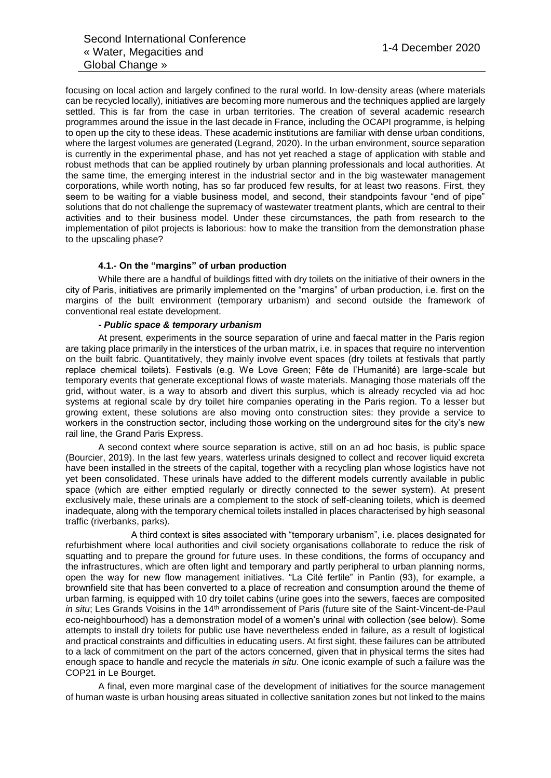focusing on local action and largely confined to the rural world. In low-density areas (where materials can be recycled locally), initiatives are becoming more numerous and the techniques applied are largely settled. This is far from the case in urban territories. The creation of several academic research programmes around the issue in the last decade in France, including the OCAPI programme, is helping to open up the city to these ideas. These academic institutions are familiar with dense urban conditions, where the largest volumes are generated (Legrand, 2020). In the urban environment, source separation is currently in the experimental phase, and has not yet reached a stage of application with stable and robust methods that can be applied routinely by urban planning professionals and local authorities. At the same time, the emerging interest in the industrial sector and in the big wastewater management corporations, while worth noting, has so far produced few results, for at least two reasons. First, they seem to be waiting for a viable business model, and second, their standpoints favour "end of pipe" solutions that do not challenge the supremacy of wastewater treatment plants, which are central to their activities and to their business model. Under these circumstances, the path from research to the implementation of pilot projects is laborious: how to make the transition from the demonstration phase to the upscaling phase?

### **4.1.- On the "margins" of urban production**

While there are a handful of buildings fitted with dry toilets on the initiative of their owners in the city of Paris, initiatives are primarily implemented on the "margins" of urban production, i.e. first on the margins of the built environment (temporary urbanism) and second outside the framework of conventional real estate development.

### *- Public space & temporary urbanism*

At present, experiments in the source separation of urine and faecal matter in the Paris region are taking place primarily in the interstices of the urban matrix, i.e. in spaces that require no intervention on the built fabric. Quantitatively, they mainly involve event spaces (dry toilets at festivals that partly replace chemical toilets). Festivals (e.g. We Love Green; Fête de l'Humanité) are large-scale but temporary events that generate exceptional flows of waste materials. Managing those materials off the grid, without water, is a way to absorb and divert this surplus, which is already recycled via ad hoc systems at regional scale by dry toilet hire companies operating in the Paris region. To a lesser but growing extent, these solutions are also moving onto construction sites: they provide a service to workers in the construction sector, including those working on the underground sites for the city's new rail line, the Grand Paris Express.

A second context where source separation is active, still on an ad hoc basis, is public space (Bourcier, 2019). In the last few years, waterless urinals designed to collect and recover liquid excreta have been installed in the streets of the capital, together with a recycling plan whose logistics have not yet been consolidated. These urinals have added to the different models currently available in public space (which are either emptied regularly or directly connected to the sewer system). At present exclusively male, these urinals are a complement to the stock of self-cleaning toilets, which is deemed inadequate, along with the temporary chemical toilets installed in places characterised by high seasonal traffic (riverbanks, parks).

A third context is sites associated with "temporary urbanism", i.e. places designated for refurbishment where local authorities and civil society organisations collaborate to reduce the risk of squatting and to prepare the ground for future uses. In these conditions, the forms of occupancy and the infrastructures, which are often light and temporary and partly peripheral to urban planning norms, open the way for new flow management initiatives. "La Cité fertile" in Pantin (93), for example, a brownfield site that has been converted to a place of recreation and consumption around the theme of urban farming, is equipped with 10 dry toilet cabins (urine goes into the sewers, faeces are composited *in situ*; Les Grands Voisins in the 14<sup>th</sup> arrondissement of Paris (future site of the Saint-Vincent-de-Paul eco-neighbourhood) has a demonstration model of a women's urinal with collection (see below). Some attempts to install dry toilets for public use have nevertheless ended in failure, as a result of logistical and practical constraints and difficulties in educating users. At first sight, these failures can be attributed to a lack of commitment on the part of the actors concerned, given that in physical terms the sites had enough space to handle and recycle the materials *in situ*. One iconic example of such a failure was the COP21 in Le Bourget.

A final, even more marginal case of the development of initiatives for the source management of human waste is urban housing areas situated in collective sanitation zones but not linked to the mains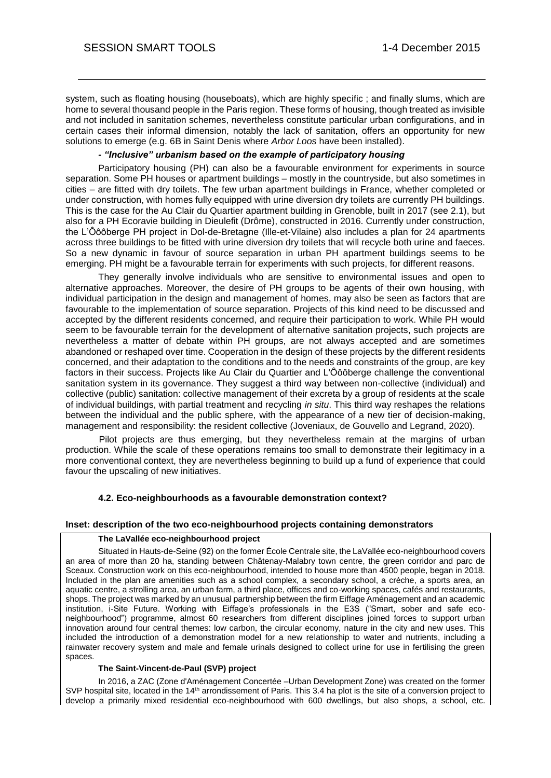system, such as floating housing (houseboats), which are highly specific ; and finally slums, which are home to several thousand people in the Paris region. These forms of housing, though treated as invisible and not included in sanitation schemes, nevertheless constitute particular urban configurations, and in certain cases their informal dimension, notably the lack of sanitation, offers an opportunity for new solutions to emerge (e.g. 6B in Saint Denis where *Arbor Loos* have been installed).

### *- "Inclusive" urbanism based on the example of participatory housing*

Participatory housing (PH) can also be a favourable environment for experiments in source separation. Some PH houses or apartment buildings – mostly in the countryside, but also sometimes in cities – are fitted with dry toilets. The few urban apartment buildings in France, whether completed or under construction, with homes fully equipped with urine diversion dry toilets are currently PH buildings. This is the case for the Au Clair du Quartier apartment building in Grenoble, built in 2017 (see 2.1), but also for a PH Ecoravie building in Dieulefit (Drôme), constructed in 2016. Currently under construction, the L'Ôôôberge PH project in Dol-de-Bretagne (Ille-et-Vilaine) also includes a plan for 24 apartments across three buildings to be fitted with urine diversion dry toilets that will recycle both urine and faeces. So a new dynamic in favour of source separation in urban PH apartment buildings seems to be emerging. PH might be a favourable terrain for experiments with such projects, for different reasons.

They generally involve individuals who are sensitive to environmental issues and open to alternative approaches. Moreover, the desire of PH groups to be agents of their own housing, with individual participation in the design and management of homes, may also be seen as factors that are favourable to the implementation of source separation. Projects of this kind need to be discussed and accepted by the different residents concerned, and require their participation to work. While PH would seem to be favourable terrain for the development of alternative sanitation projects, such projects are nevertheless a matter of debate within PH groups, are not always accepted and are sometimes abandoned or reshaped over time. Cooperation in the design of these projects by the different residents concerned, and their adaptation to the conditions and to the needs and constraints of the group, are key factors in their success. Projects like Au Clair du Quartier and L'Ôôôberge challenge the conventional sanitation system in its governance. They suggest a third way between non-collective (individual) and collective (public) sanitation: collective management of their excreta by a group of residents at the scale of individual buildings, with partial treatment and recycling *in situ*. This third way reshapes the relations between the individual and the public sphere, with the appearance of a new tier of decision-making, management and responsibility: the resident collective (Joveniaux, de Gouvello and Legrand, 2020).

Pilot projects are thus emerging, but they nevertheless remain at the margins of urban production. While the scale of these operations remains too small to demonstrate their legitimacy in a more conventional context, they are nevertheless beginning to build up a fund of experience that could favour the upscaling of new initiatives.

### **4.2. Eco-neighbourhoods as a favourable demonstration context?**

#### **Inset: description of the two eco-neighbourhood projects containing demonstrators**

#### **The LaVallée eco-neighbourhood project**

Situated in Hauts-de-Seine (92) on the former École Centrale site, the LaVallée eco-neighbourhood covers an area of more than 20 ha, standing between Châtenay-Malabry town centre, the green corridor and parc de Sceaux. Construction work on this eco-neighbourhood, intended to house more than 4500 people, began in 2018. Included in the plan are amenities such as a school complex, a secondary school, a crèche, a sports area, an aquatic centre, a strolling area, an urban farm, a third place, offices and co-working spaces, cafés and restaurants, shops. The project was marked by an unusual partnership between the firm Eiffage Aménagement and an academic institution, i-Site Future. Working with Eiffage's professionals in the E3S ("Smart, sober and safe econeighbourhood") programme, almost 60 researchers from different disciplines joined forces to support urban innovation around four central themes: low carbon, the circular economy, nature in the city and new uses. This included the introduction of a demonstration model for a new relationship to water and nutrients, including a rainwater recovery system and male and female urinals designed to collect urine for use in fertilising the green spaces.

#### **The Saint-Vincent-de-Paul (SVP) project**

In 2016, a ZAC (Zone d'Aménagement Concertée –Urban Development Zone) was created on the former SVP hospital site, located in the  $14<sup>th</sup>$  arrondissement of Paris. This 3.4 ha plot is the site of a conversion project to develop a primarily mixed residential eco-neighbourhood with 600 dwellings, but also shops, a school, etc.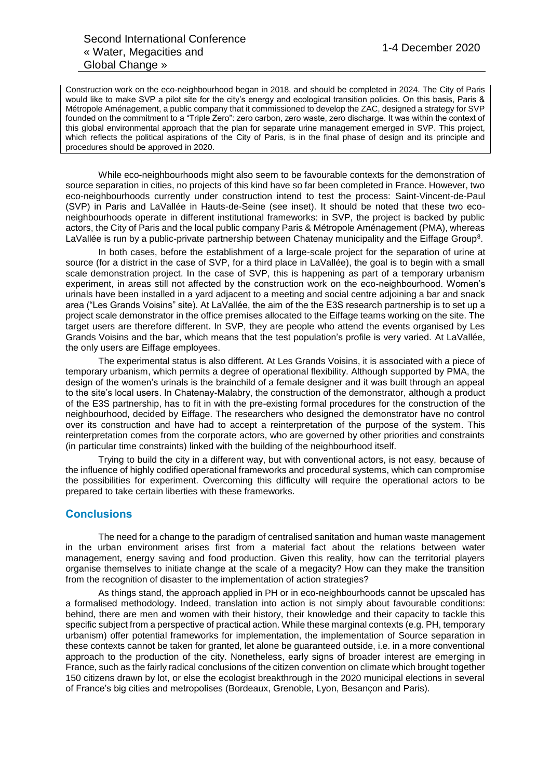Construction work on the eco-neighbourhood began in 2018, and should be completed in 2024. The City of Paris would like to make SVP a pilot site for the city's energy and ecological transition policies. On this basis, Paris & Métropole Aménagement, a public company that it commissioned to develop the ZAC, designed a strategy for SVP founded on the commitment to a "Triple Zero": zero carbon, zero waste, zero discharge. It was within the context of this global environmental approach that the plan for separate urine management emerged in SVP. This project, which reflects the political aspirations of the City of Paris, is in the final phase of design and its principle and procedures should be approved in 2020.

While eco-neighbourhoods might also seem to be favourable contexts for the demonstration of source separation in cities, no projects of this kind have so far been completed in France. However, two eco-neighbourhoods currently under construction intend to test the process: Saint-Vincent-de-Paul (SVP) in Paris and LaVallée in Hauts-de-Seine (see inset). It should be noted that these two econeighbourhoods operate in different institutional frameworks: in SVP, the project is backed by public actors, the City of Paris and the local public company Paris & Métropole Aménagement (PMA), whereas LaVallée is run by a public-private partnership between Chatenay municipality and the Eiffage Group<sup>8</sup>.

In both cases, before the establishment of a large-scale project for the separation of urine at source (for a district in the case of SVP, for a third place in LaVallée), the goal is to begin with a small scale demonstration project. In the case of SVP, this is happening as part of a temporary urbanism experiment, in areas still not affected by the construction work on the eco-neighbourhood. Women's urinals have been installed in a yard adjacent to a meeting and social centre adjoining a bar and snack area ("Les Grands Voisins" site). At LaVallée, the aim of the the E3S research partnership is to set up a project scale demonstrator in the office premises allocated to the Eiffage teams working on the site. The target users are therefore different. In SVP, they are people who attend the events organised by Les Grands Voisins and the bar, which means that the test population's profile is very varied. At LaVallée, the only users are Eiffage employees.

The experimental status is also different. At Les Grands Voisins, it is associated with a piece of temporary urbanism, which permits a degree of operational flexibility. Although supported by PMA, the design of the women's urinals is the brainchild of a female designer and it was built through an appeal to the site's local users. In Chatenay-Malabry, the construction of the demonstrator, although a product of the E3S partnership, has to fit in with the pre-existing formal procedures for the construction of the neighbourhood, decided by Eiffage. The researchers who designed the demonstrator have no control over its construction and have had to accept a reinterpretation of the purpose of the system. This reinterpretation comes from the corporate actors, who are governed by other priorities and constraints (in particular time constraints) linked with the building of the neighbourhood itself.

Trying to build the city in a different way, but with conventional actors, is not easy, because of the influence of highly codified operational frameworks and procedural systems, which can compromise the possibilities for experiment. Overcoming this difficulty will require the operational actors to be prepared to take certain liberties with these frameworks.

## **Conclusions**

The need for a change to the paradigm of centralised sanitation and human waste management in the urban environment arises first from a material fact about the relations between water management, energy saving and food production. Given this reality, how can the territorial players organise themselves to initiate change at the scale of a megacity? How can they make the transition from the recognition of disaster to the implementation of action strategies?

As things stand, the approach applied in PH or in eco-neighbourhoods cannot be upscaled has a formalised methodology. Indeed, translation into action is not simply about favourable conditions: behind, there are men and women with their history, their knowledge and their capacity to tackle this specific subject from a perspective of practical action. While these marginal contexts (e.g. PH, temporary urbanism) offer potential frameworks for implementation, the implementation of Source separation in these contexts cannot be taken for granted, let alone be guaranteed outside, i.e. in a more conventional approach to the production of the city. Nonetheless, early signs of broader interest are emerging in France, such as the fairly radical conclusions of the citizen convention on climate which brought together 150 citizens drawn by lot, or else the ecologist breakthrough in the 2020 municipal elections in several of France's big cities and metropolises (Bordeaux, Grenoble, Lyon, Besançon and Paris).